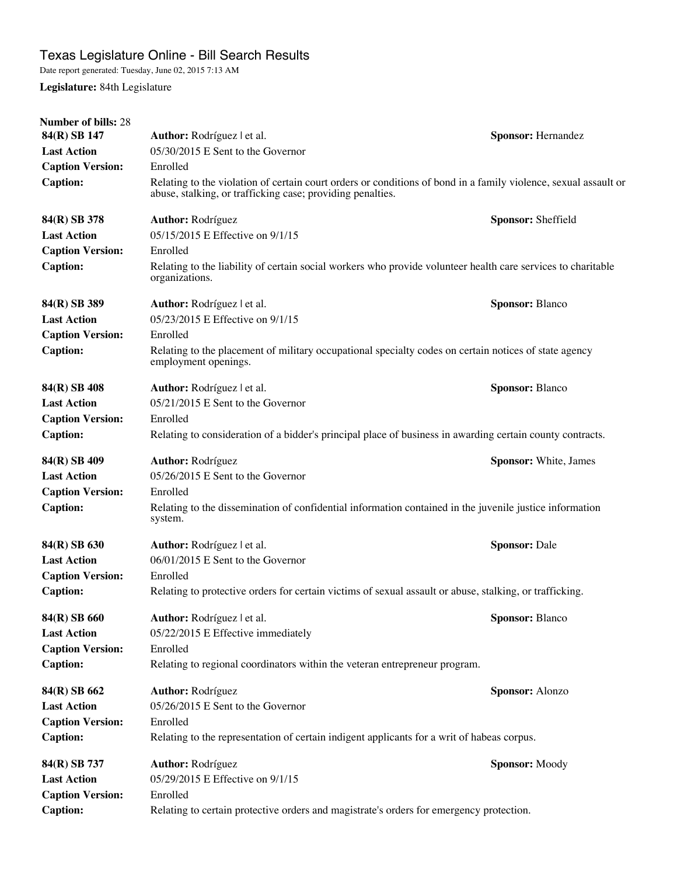Date report generated: Tuesday, June 02, 2015 7:13 AM

**Legislature:** 84th Legislature

| <b>Number of bills: 28</b> |                                                                                                                                                                               |                                                                                                              |  |  |
|----------------------------|-------------------------------------------------------------------------------------------------------------------------------------------------------------------------------|--------------------------------------------------------------------------------------------------------------|--|--|
| 84(R) SB 147               | Author: Rodríguez l et al.                                                                                                                                                    | <b>Sponsor: Hernandez</b>                                                                                    |  |  |
| <b>Last Action</b>         | 05/30/2015 E Sent to the Governor                                                                                                                                             |                                                                                                              |  |  |
| <b>Caption Version:</b>    | Enrolled                                                                                                                                                                      |                                                                                                              |  |  |
| <b>Caption:</b>            | Relating to the violation of certain court orders or conditions of bond in a family violence, sexual assault or<br>abuse, stalking, or trafficking case; providing penalties. |                                                                                                              |  |  |
| 84(R) SB 378               | Author: Rodríguez                                                                                                                                                             | Sponsor: Sheffield                                                                                           |  |  |
| <b>Last Action</b>         | 05/15/2015 E Effective on 9/1/15                                                                                                                                              |                                                                                                              |  |  |
| <b>Caption Version:</b>    | Enrolled                                                                                                                                                                      |                                                                                                              |  |  |
| <b>Caption:</b>            | organizations.                                                                                                                                                                | Relating to the liability of certain social workers who provide volunteer health care services to charitable |  |  |
| 84(R) SB 389               | Author: Rodríguez   et al.                                                                                                                                                    | <b>Sponsor: Blanco</b>                                                                                       |  |  |
| <b>Last Action</b>         | 05/23/2015 E Effective on 9/1/15                                                                                                                                              |                                                                                                              |  |  |
| <b>Caption Version:</b>    | Enrolled                                                                                                                                                                      |                                                                                                              |  |  |
| <b>Caption:</b>            | Relating to the placement of military occupational specialty codes on certain notices of state agency<br>employment openings.                                                 |                                                                                                              |  |  |
| 84(R) SB 408               | Author: Rodríguez l et al.                                                                                                                                                    | <b>Sponsor: Blanco</b>                                                                                       |  |  |
| <b>Last Action</b>         | 05/21/2015 E Sent to the Governor                                                                                                                                             |                                                                                                              |  |  |
| <b>Caption Version:</b>    | Enrolled                                                                                                                                                                      |                                                                                                              |  |  |
| <b>Caption:</b>            | Relating to consideration of a bidder's principal place of business in awarding certain county contracts.                                                                     |                                                                                                              |  |  |
| 84(R) SB 409               | <b>Author: Rodríguez</b>                                                                                                                                                      | Sponsor: White, James                                                                                        |  |  |
| <b>Last Action</b>         | 05/26/2015 E Sent to the Governor                                                                                                                                             |                                                                                                              |  |  |
| <b>Caption Version:</b>    | Enrolled                                                                                                                                                                      |                                                                                                              |  |  |
| <b>Caption:</b>            | Relating to the dissemination of confidential information contained in the juvenile justice information<br>system.                                                            |                                                                                                              |  |  |
| 84(R) SB 630               | Author: Rodríguez l et al.                                                                                                                                                    | <b>Sponsor: Dale</b>                                                                                         |  |  |
| <b>Last Action</b>         | 06/01/2015 E Sent to the Governor                                                                                                                                             |                                                                                                              |  |  |
| <b>Caption Version:</b>    | Enrolled                                                                                                                                                                      |                                                                                                              |  |  |
| <b>Caption:</b>            | Relating to protective orders for certain victims of sexual assault or abuse, stalking, or trafficking.                                                                       |                                                                                                              |  |  |
| 84(R) SB 660               | Author: Rodríguez   et al.                                                                                                                                                    | <b>Sponsor: Blanco</b>                                                                                       |  |  |
| <b>Last Action</b>         | 05/22/2015 E Effective immediately                                                                                                                                            |                                                                                                              |  |  |
| <b>Caption Version:</b>    | Enrolled                                                                                                                                                                      |                                                                                                              |  |  |
| <b>Caption:</b>            | Relating to regional coordinators within the veteran entrepreneur program.                                                                                                    |                                                                                                              |  |  |
| 84(R) SB 662               | Author: Rodríguez                                                                                                                                                             | Sponsor: Alonzo                                                                                              |  |  |
| <b>Last Action</b>         | 05/26/2015 E Sent to the Governor                                                                                                                                             |                                                                                                              |  |  |
| <b>Caption Version:</b>    | Enrolled                                                                                                                                                                      |                                                                                                              |  |  |
| <b>Caption:</b>            | Relating to the representation of certain indigent applicants for a writ of habeas corpus.                                                                                    |                                                                                                              |  |  |
| 84(R) SB 737               | Author: Rodríguez                                                                                                                                                             | Sponsor: Moody                                                                                               |  |  |
| <b>Last Action</b>         | 05/29/2015 E Effective on 9/1/15                                                                                                                                              |                                                                                                              |  |  |
| <b>Caption Version:</b>    | Enrolled                                                                                                                                                                      |                                                                                                              |  |  |
| <b>Caption:</b>            | Relating to certain protective orders and magistrate's orders for emergency protection.                                                                                       |                                                                                                              |  |  |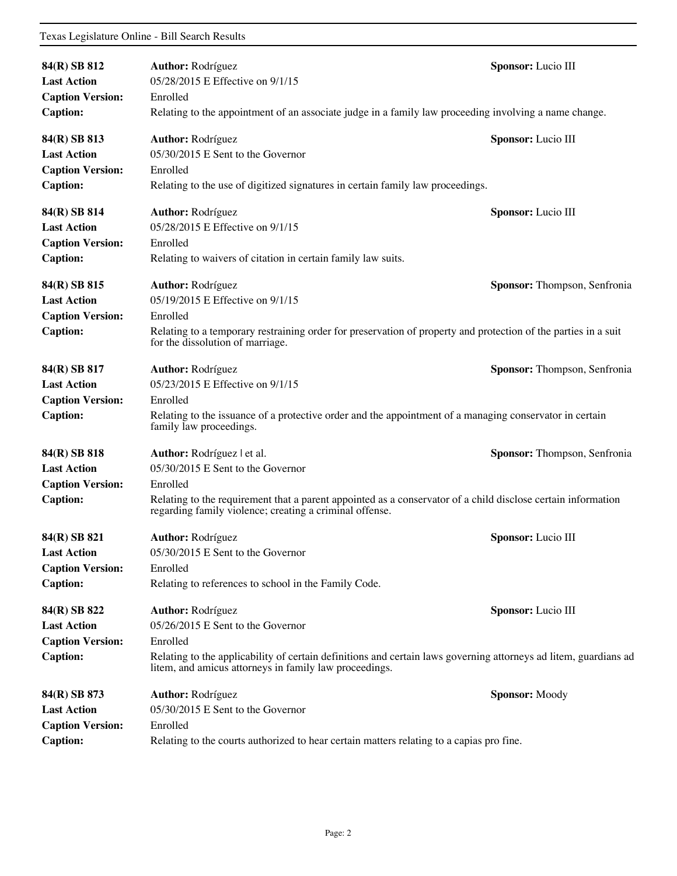| 84(R) SB 812<br><b>Last Action</b>                                               | Author: Rodríguez<br>05/28/2015 E Effective on 9/1/15                                                                                                                                                                                                   | Sponsor: Lucio III           |  |
|----------------------------------------------------------------------------------|---------------------------------------------------------------------------------------------------------------------------------------------------------------------------------------------------------------------------------------------------------|------------------------------|--|
| <b>Caption Version:</b><br><b>Caption:</b>                                       | Enrolled<br>Relating to the appointment of an associate judge in a family law proceeding involving a name change.                                                                                                                                       |                              |  |
| 84(R) SB 813<br><b>Last Action</b><br><b>Caption Version:</b><br><b>Caption:</b> | <b>Author: Rodríguez</b><br>05/30/2015 E Sent to the Governor<br>Enrolled<br>Relating to the use of digitized signatures in certain family law proceedings.                                                                                             | Sponsor: Lucio III           |  |
| 84(R) SB 814<br><b>Last Action</b><br><b>Caption Version:</b><br><b>Caption:</b> | <b>Author: Rodríguez</b><br>05/28/2015 E Effective on 9/1/15<br>Enrolled<br>Relating to waivers of citation in certain family law suits.                                                                                                                | Sponsor: Lucio III           |  |
| 84(R) SB 815<br><b>Last Action</b><br><b>Caption Version:</b><br><b>Caption:</b> | Author: Rodríguez<br>Sponsor: Thompson, Senfronia<br>05/19/2015 E Effective on 9/1/15<br>Enrolled<br>Relating to a temporary restraining order for preservation of property and protection of the parties in a suit<br>for the dissolution of marriage. |                              |  |
| 84(R) SB 817<br><b>Last Action</b><br><b>Caption Version:</b><br><b>Caption:</b> | <b>Author: Rodríguez</b><br>Sponsor: Thompson, Senfronia<br>05/23/2015 E Effective on 9/1/15<br>Enrolled<br>Relating to the issuance of a protective order and the appointment of a managing conservator in certain<br>family law proceedings.          |                              |  |
| 84(R) SB 818<br><b>Last Action</b><br><b>Caption Version:</b><br><b>Caption:</b> | Author: Rodríguez l et al.<br>05/30/2015 E Sent to the Governor<br>Enrolled<br>Relating to the requirement that a parent appointed as a conservator of a child disclose certain information<br>regarding family violence; creating a criminal offense.  | Sponsor: Thompson, Senfronia |  |
| 84(R) SB 821<br><b>Last Action</b><br><b>Caption Version:</b><br><b>Caption:</b> | <b>Author: Rodríguez</b><br>05/30/2015 E Sent to the Governor<br>Enrolled<br>Relating to references to school in the Family Code.                                                                                                                       | Sponsor: Lucio III           |  |
| 84(R) SB 822<br><b>Last Action</b><br><b>Caption Version:</b><br><b>Caption:</b> | <b>Author: Rodríguez</b><br>05/26/2015 E Sent to the Governor<br>Enrolled<br>Relating to the applicability of certain definitions and certain laws governing attorneys ad litem, guardians ad<br>litem, and amicus attorneys in family law proceedings. | Sponsor: Lucio III           |  |
| 84(R) SB 873<br><b>Last Action</b><br><b>Caption Version:</b><br><b>Caption:</b> | <b>Author: Rodríguez</b><br>05/30/2015 E Sent to the Governor<br>Enrolled<br>Relating to the courts authorized to hear certain matters relating to a capias pro fine.                                                                                   | <b>Sponsor: Moody</b>        |  |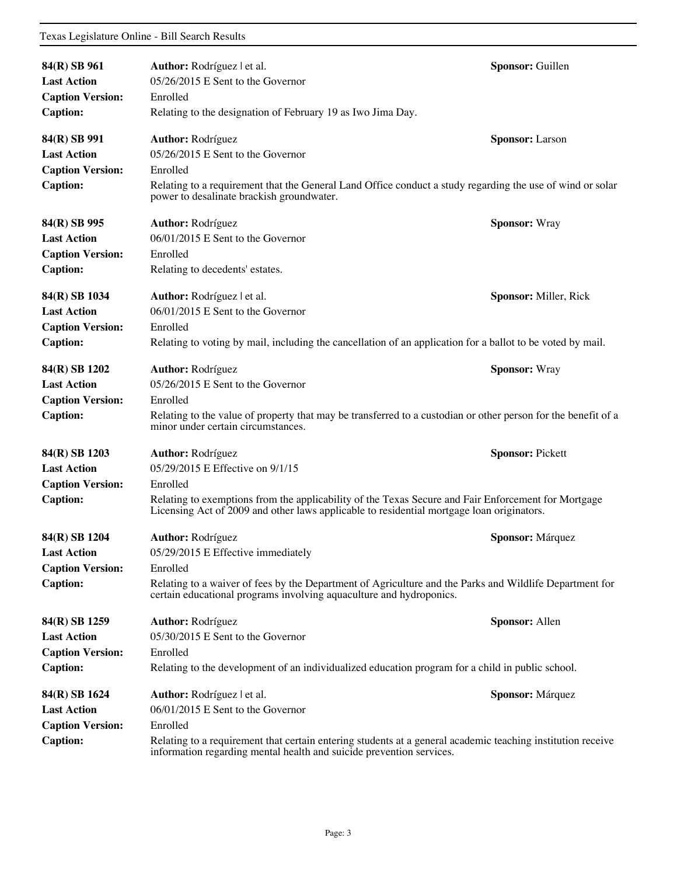| 84(R) SB 961<br><b>Last Action</b><br><b>Caption Version:</b>                     | Author: Rodríguez   et al.<br>05/26/2015 E Sent to the Governor<br>Enrolled                                                                                                                                                                                                  | Sponsor: Guillen        |
|-----------------------------------------------------------------------------------|------------------------------------------------------------------------------------------------------------------------------------------------------------------------------------------------------------------------------------------------------------------------------|-------------------------|
| <b>Caption:</b>                                                                   | Relating to the designation of February 19 as Iwo Jima Day.                                                                                                                                                                                                                  |                         |
| 84(R) SB 991<br><b>Last Action</b><br><b>Caption Version:</b><br><b>Caption:</b>  | <b>Author: Rodríguez</b><br>05/26/2015 E Sent to the Governor<br>Enrolled<br>Relating to a requirement that the General Land Office conduct a study regarding the use of wind or solar<br>power to desalinate brackish groundwater.                                          | <b>Sponsor:</b> Larson  |
| 84(R) SB 995<br><b>Last Action</b><br><b>Caption Version:</b><br><b>Caption:</b>  | <b>Author: Rodríguez</b><br>06/01/2015 E Sent to the Governor<br>Enrolled<br>Relating to decedents' estates.                                                                                                                                                                 | <b>Sponsor: Wray</b>    |
| 84(R) SB 1034<br><b>Last Action</b><br><b>Caption Version:</b><br><b>Caption:</b> | Author: Rodríguez l et al.<br>06/01/2015 E Sent to the Governor<br>Enrolled<br>Relating to voting by mail, including the cancellation of an application for a ballot to be voted by mail.                                                                                    | Sponsor: Miller, Rick   |
| 84(R) SB 1202<br><b>Last Action</b><br><b>Caption Version:</b><br><b>Caption:</b> | <b>Author: Rodríguez</b><br>05/26/2015 E Sent to the Governor<br>Enrolled<br>Relating to the value of property that may be transferred to a custodian or other person for the benefit of a<br>minor under certain circumstances.                                             | <b>Sponsor: Wray</b>    |
| 84(R) SB 1203<br><b>Last Action</b><br><b>Caption Version:</b><br><b>Caption:</b> | <b>Author: Rodríguez</b><br>05/29/2015 E Effective on 9/1/15<br>Enrolled<br>Relating to exemptions from the applicability of the Texas Secure and Fair Enforcement for Mortgage<br>Licensing Act of 2009 and other laws applicable to residential mortgage loan originators. | <b>Sponsor: Pickett</b> |
| 84(R) SB 1204<br><b>Last Action</b><br><b>Caption Version:</b><br><b>Caption:</b> | <b>Author: Rodríguez</b><br>05/29/2015 E Effective immediately<br>Enrolled<br>Relating to a waiver of fees by the Department of Agriculture and the Parks and Wildlife Department for<br>certain educational programs involving aquaculture and hydroponics.                 | Sponsor: Márquez        |
| 84(R) SB 1259<br><b>Last Action</b><br><b>Caption Version:</b><br><b>Caption:</b> | <b>Author: Rodríguez</b><br>05/30/2015 E Sent to the Governor<br>Enrolled<br>Relating to the development of an individualized education program for a child in public school.                                                                                                | Sponsor: Allen          |
| 84(R) SB 1624<br><b>Last Action</b><br><b>Caption Version:</b><br><b>Caption:</b> | Author: Rodríguez l et al.<br>06/01/2015 E Sent to the Governor<br>Enrolled<br>Relating to a requirement that certain entering students at a general academic teaching institution receive<br>information regarding mental health and suicide prevention services.           | <b>Sponsor:</b> Márquez |